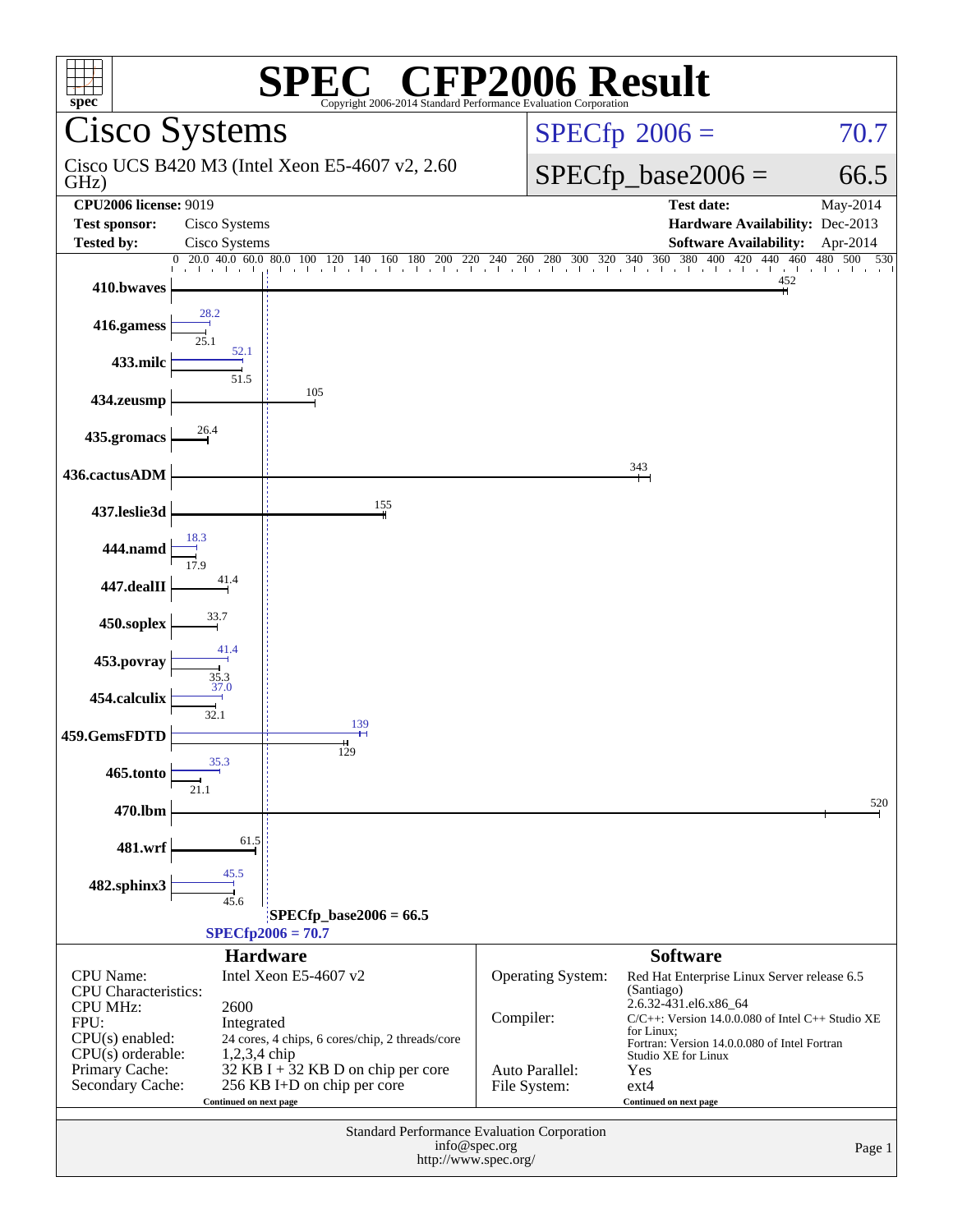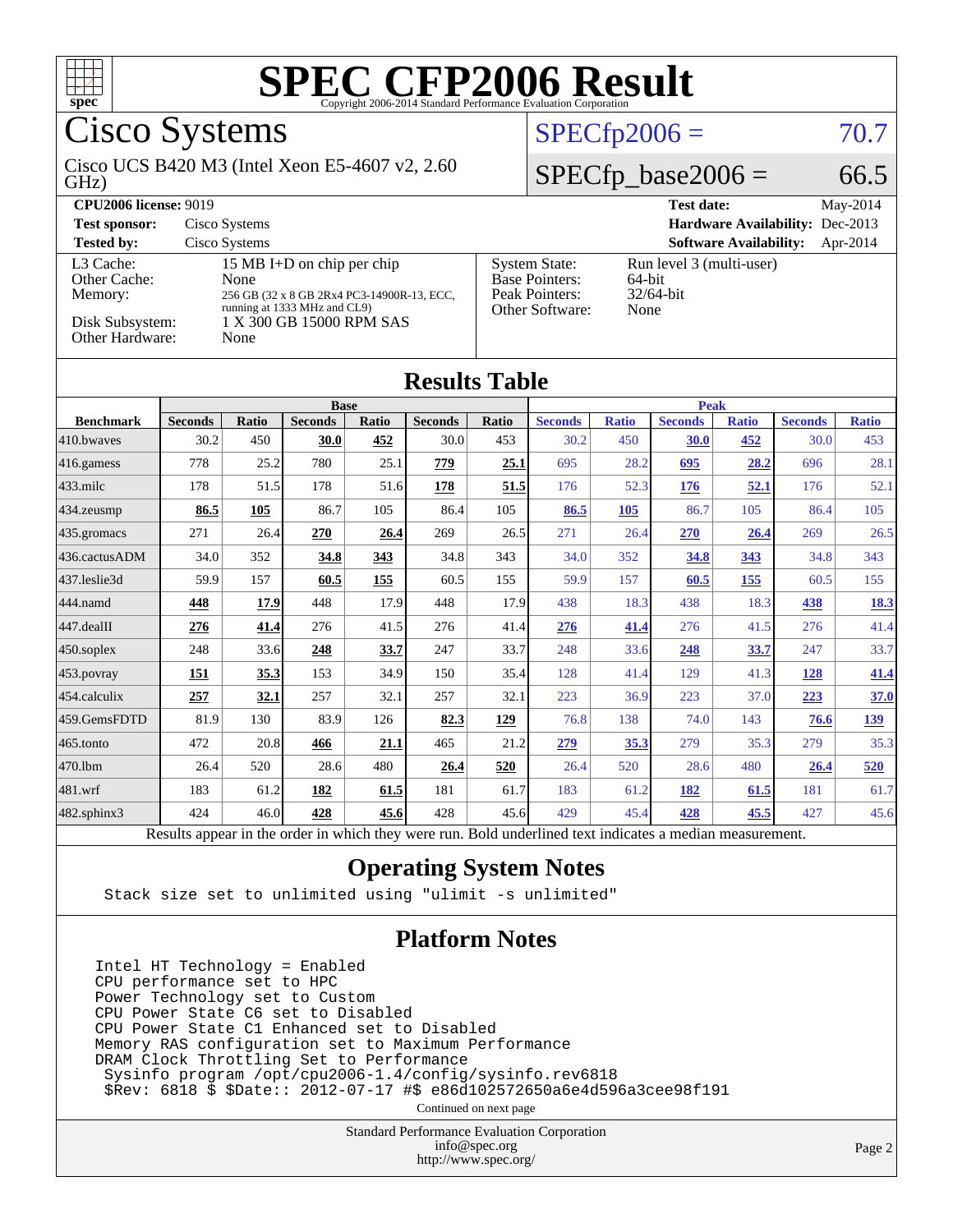

Cisco Systems

#### GHz) Cisco UCS B420 M3 (Intel Xeon E5-4607 v2, 2.60

### $SPECfp2006 = 70.7$  $SPECfp2006 = 70.7$

### $SPECfp\_base2006 = 66.5$

| <b>CPU2006 license: 9019</b>                                               |                                                                                                                                                      |                                                                                    | <b>Test date:</b><br>May-2014                                 |
|----------------------------------------------------------------------------|------------------------------------------------------------------------------------------------------------------------------------------------------|------------------------------------------------------------------------------------|---------------------------------------------------------------|
| <b>Test sponsor:</b>                                                       | Cisco Systems                                                                                                                                        |                                                                                    | Hardware Availability: Dec-2013                               |
| <b>Tested by:</b>                                                          | Cisco Systems                                                                                                                                        |                                                                                    | <b>Software Availability:</b><br>Apr-2014                     |
| L3 Cache:<br>Other Cache:<br>Memory:<br>Disk Subsystem:<br>Other Hardware: | 15 MB I+D on chip per chip<br>None<br>256 GB (32 x 8 GB 2Rx4 PC3-14900R-13, ECC,<br>running at 1333 MHz and CL9)<br>1 X 300 GB 15000 RPM SAS<br>None | <b>System State:</b><br><b>Base Pointers:</b><br>Peak Pointers:<br>Other Software: | Run level 3 (multi-user)<br>$64$ -bit<br>$32/64$ -bit<br>None |

### **[Results Table](http://www.spec.org/auto/cpu2006/Docs/result-fields.html#ResultsTable)**

|                  | <b>Base</b>    |       |                |       | <b>Peak</b>    |       |                |              |                |              |                |              |
|------------------|----------------|-------|----------------|-------|----------------|-------|----------------|--------------|----------------|--------------|----------------|--------------|
| <b>Benchmark</b> | <b>Seconds</b> | Ratio | <b>Seconds</b> | Ratio | <b>Seconds</b> | Ratio | <b>Seconds</b> | <b>Ratio</b> | <b>Seconds</b> | <b>Ratio</b> | <b>Seconds</b> | <b>Ratio</b> |
| 410.bwayes       | 30.2           | 450   | 30.0           | 452   | 30.0           | 453   | 30.2           | 450          | 30.0           | 452          | 30.0           | 453          |
| 416.gamess       | 778            | 25.2  | 780            | 25.1  | 779            | 25.1  | 695            | 28.2         | 695            | 28.2         | 696            | 28.1         |
| $433$ .milc      | 178            | 51.5  | 178            | 51.6  | 178            | 51.5  | 176            | 52.3         | 176            | 52.1         | 176            | 52.1         |
| 434.zeusmp       | 86.5           | 105   | 86.7           | 105   | 86.4           | 105   | 86.5           | 105          | 86.7           | 105          | 86.4           | 105          |
| 435.gromacs      | 271            | 26.4  | 270            | 26.4  | 269            | 26.5  | 271            | 26.4         | 270            | 26.4         | 269            | 26.5         |
| 436.cactusADM    | 34.0           | 352   | 34.8           | 343   | 34.8           | 343   | 34.0           | 352          | 34.8           | 343          | 34.8           | 343          |
| 437.leslie3d     | 59.9           | 157   | 60.5           | 155   | 60.5           | 155   | 59.9           | 157          | 60.5           | 155          | 60.5           | 155          |
| 444.namd         | 448            | 17.9  | 448            | 17.9  | 448            | 17.9  | 438            | 18.3         | 438            | 18.3         | 438            | <b>18.3</b>  |
| 447.dealII       | 276            | 41.4  | 276            | 41.5  | 276            | 41.4  | 276            | 41.4         | 276            | 41.5         | 276            | 41.4         |
| 450.soplex       | 248            | 33.6  | 248            | 33.7  | 247            | 33.7  | 248            | 33.6         | 248            | 33.7         | 247            | 33.7         |
| 453.povray       | <u>151</u>     | 35.3  | 153            | 34.9  | 150            | 35.4  | 128            | 41.4         | 129            | 41.3         | <u>128</u>     | 41.4         |
| 454.calculix     | 257            | 32.1  | 257            | 32.1  | 257            | 32.1  | 223            | 36.9         | 223            | 37.0         | 223            | 37.0         |
| 459.GemsFDTD     | 81.9           | 130   | 83.9           | 126   | 82.3           | 129   | 76.8           | 138          | 74.0           | 143          | 76.6           | <u>139</u>   |
| 465.tonto        | 472            | 20.8  | 466            | 21.1  | 465            | 21.2  | <u>279</u>     | 35.3         | 279            | 35.3         | 279            | 35.3         |
| 470.1bm          | 26.4           | 520   | 28.6           | 480   | 26.4           | 520   | 26.4           | 520          | 28.6           | 480          | 26.4           | 520          |
| 481.wrf          | 183            | 61.2  | 182            | 61.5  | 181            | 61.7  | 183            | 61.2         | 182            | 61.5         | 181            | 61.7         |
| 482.sphinx3      | 424            | 46.0  | 428            | 45.6  | 428            | 45.6  | 429            | 45.4         | 428            | 45.5         | 427            | 45.6         |

Results appear in the [order in which they were run.](http://www.spec.org/auto/cpu2006/Docs/result-fields.html#RunOrder) Bold underlined text [indicates a median measurement.](http://www.spec.org/auto/cpu2006/Docs/result-fields.html#Median)

### **[Operating System Notes](http://www.spec.org/auto/cpu2006/Docs/result-fields.html#OperatingSystemNotes)**

Stack size set to unlimited using "ulimit -s unlimited"

### **[Platform Notes](http://www.spec.org/auto/cpu2006/Docs/result-fields.html#PlatformNotes)**

Intel HT Technology = Enabled CPU performance set to HPC Power Technology set to Custom CPU Power State C6 set to Disabled CPU Power State C1 Enhanced set to Disabled Memory RAS configuration set to Maximum Performance DRAM Clock Throttling Set to Performance Sysinfo program /opt/cpu2006-1.4/config/sysinfo.rev6818 \$Rev: 6818 \$ \$Date:: 2012-07-17 #\$ e86d102572650a6e4d596a3cee98f191

Continued on next page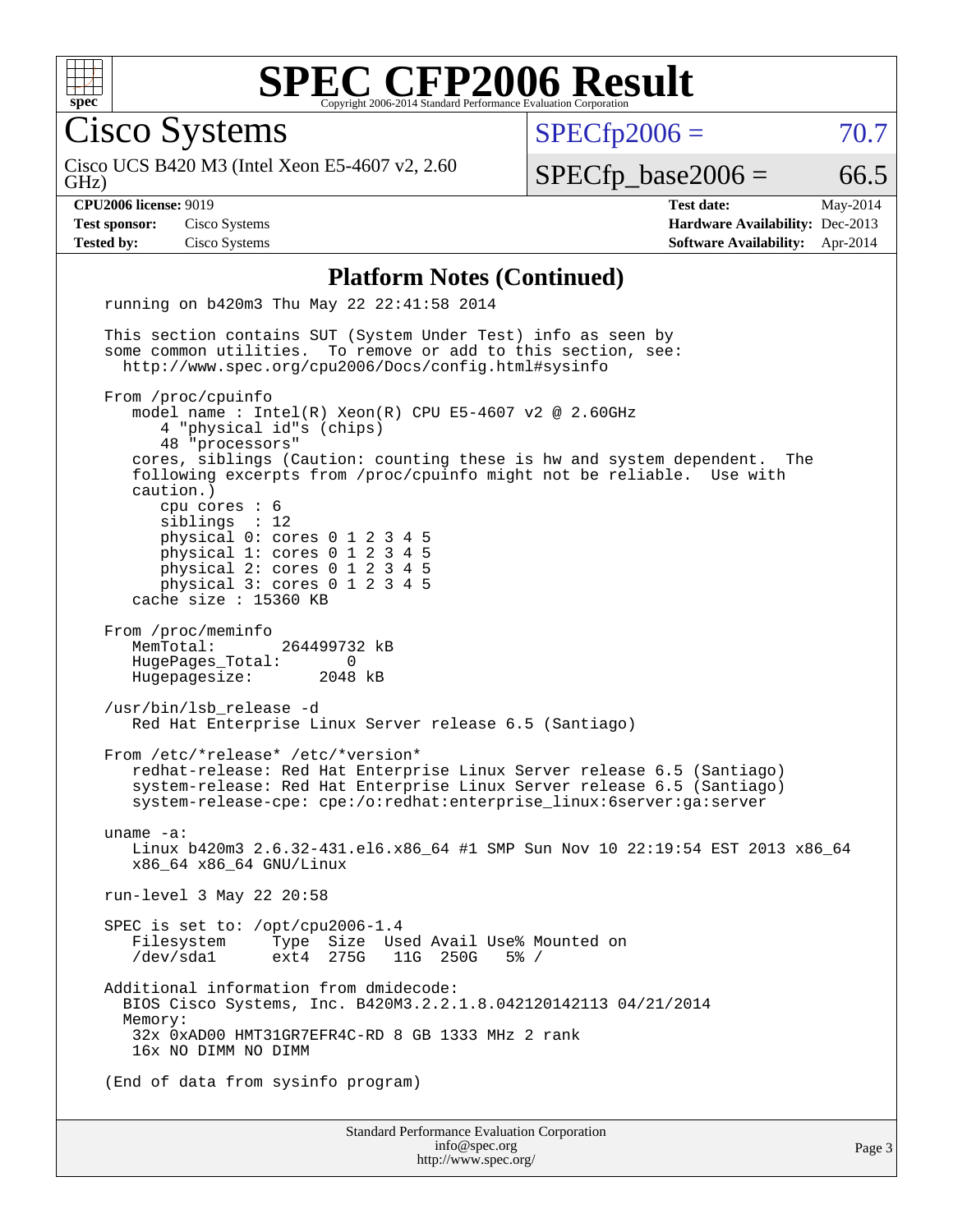

Cisco Systems

GHz) Cisco UCS B420 M3 (Intel Xeon E5-4607 v2, 2.60  $SPECTp2006 = 70.7$ 

 $SPECTp\_base2006 = 66.5$ 

**[CPU2006 license:](http://www.spec.org/auto/cpu2006/Docs/result-fields.html#CPU2006license)** 9019 **[Test date:](http://www.spec.org/auto/cpu2006/Docs/result-fields.html#Testdate)** May-2014 **[Test sponsor:](http://www.spec.org/auto/cpu2006/Docs/result-fields.html#Testsponsor)** Cisco Systems **[Hardware Availability:](http://www.spec.org/auto/cpu2006/Docs/result-fields.html#HardwareAvailability)** Dec-2013 **[Tested by:](http://www.spec.org/auto/cpu2006/Docs/result-fields.html#Testedby)** Cisco Systems **[Software Availability:](http://www.spec.org/auto/cpu2006/Docs/result-fields.html#SoftwareAvailability)** Apr-2014

#### **[Platform Notes \(Continued\)](http://www.spec.org/auto/cpu2006/Docs/result-fields.html#PlatformNotes)**

Standard Performance Evaluation Corporation running on b420m3 Thu May 22 22:41:58 2014 This section contains SUT (System Under Test) info as seen by some common utilities. To remove or add to this section, see: <http://www.spec.org/cpu2006/Docs/config.html#sysinfo> From /proc/cpuinfo model name : Intel(R) Xeon(R) CPU E5-4607 v2 @ 2.60GHz 4 "physical id"s (chips) 48 "processors" cores, siblings (Caution: counting these is hw and system dependent. The following excerpts from /proc/cpuinfo might not be reliable. Use with caution.) cpu cores : 6 siblings : 12 physical 0: cores 0 1 2 3 4 5 physical 1: cores 0 1 2 3 4 5 physical 2: cores 0 1 2 3 4 5 physical 3: cores 0 1 2 3 4 5 cache size : 15360 KB From /proc/meminfo MemTotal: 264499732 kB HugePages\_Total: 0<br>Hugepagesize: 2048 kB Hugepagesize: /usr/bin/lsb\_release -d Red Hat Enterprise Linux Server release 6.5 (Santiago) From /etc/\*release\* /etc/\*version\* redhat-release: Red Hat Enterprise Linux Server release 6.5 (Santiago) system-release: Red Hat Enterprise Linux Server release 6.5 (Santiago) system-release-cpe: cpe:/o:redhat:enterprise\_linux:6server:ga:server uname -a: Linux b420m3 2.6.32-431.el6.x86\_64 #1 SMP Sun Nov 10 22:19:54 EST 2013 x86\_64 x86\_64 x86\_64 GNU/Linux run-level 3 May 22 20:58 SPEC is set to: /opt/cpu2006-1.4 Filesystem Type Size Used Avail Use% Mounted on<br>/dev/sdal ext4 275G 11G 250G 5% / 11G 250G 5% / Additional information from dmidecode: BIOS Cisco Systems, Inc. B420M3.2.2.1.8.042120142113 04/21/2014 Memory: 32x 0xAD00 HMT31GR7EFR4C-RD 8 GB 1333 MHz 2 rank 16x NO DIMM NO DIMM (End of data from sysinfo program)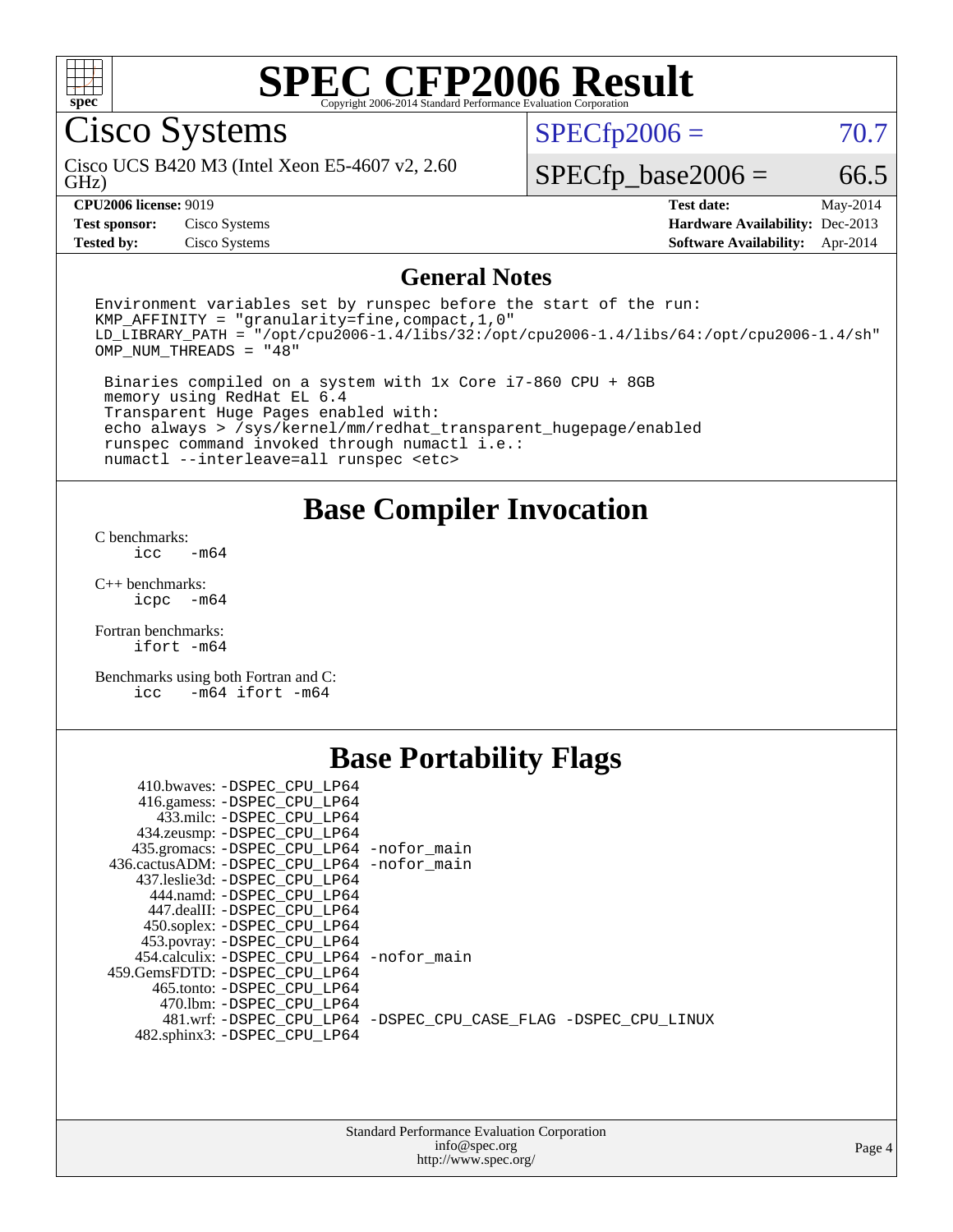

Cisco Systems

GHz) Cisco UCS B420 M3 (Intel Xeon E5-4607 v2, 2.60  $SPECTp2006 = 70.7$ 

### $SPECTp\_base2006 = 66.5$

**[CPU2006 license:](http://www.spec.org/auto/cpu2006/Docs/result-fields.html#CPU2006license)** 9019 **[Test date:](http://www.spec.org/auto/cpu2006/Docs/result-fields.html#Testdate)** May-2014 **[Test sponsor:](http://www.spec.org/auto/cpu2006/Docs/result-fields.html#Testsponsor)** Cisco Systems **[Hardware Availability:](http://www.spec.org/auto/cpu2006/Docs/result-fields.html#HardwareAvailability)** Dec-2013 **[Tested by:](http://www.spec.org/auto/cpu2006/Docs/result-fields.html#Testedby)** Cisco Systems **[Software Availability:](http://www.spec.org/auto/cpu2006/Docs/result-fields.html#SoftwareAvailability)** Apr-2014

### **[General Notes](http://www.spec.org/auto/cpu2006/Docs/result-fields.html#GeneralNotes)**

Environment variables set by runspec before the start of the run: KMP\_AFFINITY = "granularity=fine,compact,1,0" LD\_LIBRARY\_PATH = "/opt/cpu2006-1.4/libs/32:/opt/cpu2006-1.4/libs/64:/opt/cpu2006-1.4/sh" OMP\_NUM\_THREADS = "48"

 Binaries compiled on a system with 1x Core i7-860 CPU + 8GB memory using RedHat EL 6.4 Transparent Huge Pages enabled with: echo always > /sys/kernel/mm/redhat\_transparent\_hugepage/enabled runspec command invoked through numactl i.e.: numactl --interleave=all runspec <etc>

**[Base Compiler Invocation](http://www.spec.org/auto/cpu2006/Docs/result-fields.html#BaseCompilerInvocation)**

[C benchmarks](http://www.spec.org/auto/cpu2006/Docs/result-fields.html#Cbenchmarks):  $\text{icc}$   $-\text{m64}$ 

[C++ benchmarks:](http://www.spec.org/auto/cpu2006/Docs/result-fields.html#CXXbenchmarks) [icpc -m64](http://www.spec.org/cpu2006/results/res2014q3/cpu2006-20140606-29822.flags.html#user_CXXbase_intel_icpc_64bit_bedb90c1146cab66620883ef4f41a67e)

[Fortran benchmarks](http://www.spec.org/auto/cpu2006/Docs/result-fields.html#Fortranbenchmarks): [ifort -m64](http://www.spec.org/cpu2006/results/res2014q3/cpu2006-20140606-29822.flags.html#user_FCbase_intel_ifort_64bit_ee9d0fb25645d0210d97eb0527dcc06e)

[Benchmarks using both Fortran and C](http://www.spec.org/auto/cpu2006/Docs/result-fields.html#BenchmarksusingbothFortranandC): [icc -m64](http://www.spec.org/cpu2006/results/res2014q3/cpu2006-20140606-29822.flags.html#user_CC_FCbase_intel_icc_64bit_0b7121f5ab7cfabee23d88897260401c) [ifort -m64](http://www.spec.org/cpu2006/results/res2014q3/cpu2006-20140606-29822.flags.html#user_CC_FCbase_intel_ifort_64bit_ee9d0fb25645d0210d97eb0527dcc06e)

# **[Base Portability Flags](http://www.spec.org/auto/cpu2006/Docs/result-fields.html#BasePortabilityFlags)**

| 410.bwaves: -DSPEC CPU LP64                 |                                                                |
|---------------------------------------------|----------------------------------------------------------------|
| 416.gamess: -DSPEC_CPU_LP64                 |                                                                |
| 433.milc: -DSPEC CPU LP64                   |                                                                |
| 434.zeusmp: - DSPEC_CPU_LP64                |                                                                |
| 435.gromacs: -DSPEC_CPU_LP64 -nofor_main    |                                                                |
| 436.cactusADM: -DSPEC CPU LP64 -nofor main  |                                                                |
| 437.leslie3d: -DSPEC CPU LP64               |                                                                |
| 444.namd: -DSPEC CPU LP64                   |                                                                |
| 447.dealII: -DSPEC_CPU LP64                 |                                                                |
| 450.soplex: -DSPEC_CPU_LP64                 |                                                                |
| 453.povray: -DSPEC CPU LP64                 |                                                                |
| 454.calculix: - DSPEC CPU LP64 - nofor main |                                                                |
| 459. GemsFDTD: - DSPEC CPU LP64             |                                                                |
| 465.tonto: - DSPEC CPU LP64                 |                                                                |
| 470.1bm: - DSPEC CPU LP64                   |                                                                |
|                                             | 481.wrf: -DSPEC CPU_LP64 -DSPEC_CPU_CASE_FLAG -DSPEC_CPU_LINUX |
| 482.sphinx3: -DSPEC_CPU_LP64                |                                                                |
|                                             |                                                                |

| <b>Standard Performance Evaluation Corporation</b> |
|----------------------------------------------------|
| info@spec.org                                      |
| http://www.spec.org/                               |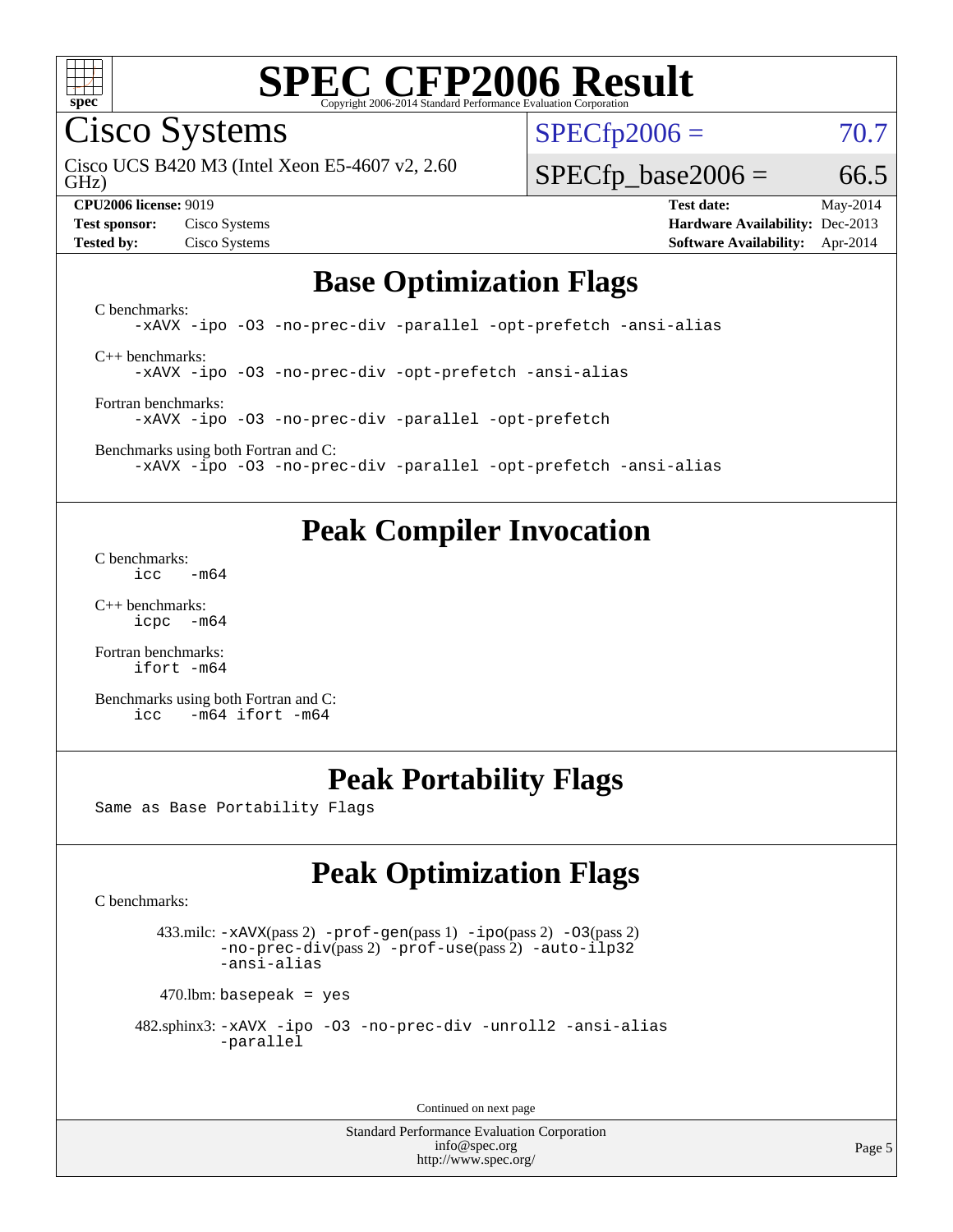

Cisco Systems

GHz) Cisco UCS B420 M3 (Intel Xeon E5-4607 v2, 2.60  $SPECTp2006 = 70.7$ 

#### **[CPU2006 license:](http://www.spec.org/auto/cpu2006/Docs/result-fields.html#CPU2006license)** 9019 **[Test date:](http://www.spec.org/auto/cpu2006/Docs/result-fields.html#Testdate)** May-2014

 $SPECTp\_base2006 = 66.5$ 

**[Test sponsor:](http://www.spec.org/auto/cpu2006/Docs/result-fields.html#Testsponsor)** Cisco Systems **[Hardware Availability:](http://www.spec.org/auto/cpu2006/Docs/result-fields.html#HardwareAvailability)** Dec-2013 **[Tested by:](http://www.spec.org/auto/cpu2006/Docs/result-fields.html#Testedby)** Cisco Systems **[Software Availability:](http://www.spec.org/auto/cpu2006/Docs/result-fields.html#SoftwareAvailability)** Apr-2014

## **[Base Optimization Flags](http://www.spec.org/auto/cpu2006/Docs/result-fields.html#BaseOptimizationFlags)**

[C benchmarks](http://www.spec.org/auto/cpu2006/Docs/result-fields.html#Cbenchmarks): [-xAVX](http://www.spec.org/cpu2006/results/res2014q3/cpu2006-20140606-29822.flags.html#user_CCbase_f-xAVX) [-ipo](http://www.spec.org/cpu2006/results/res2014q3/cpu2006-20140606-29822.flags.html#user_CCbase_f-ipo) [-O3](http://www.spec.org/cpu2006/results/res2014q3/cpu2006-20140606-29822.flags.html#user_CCbase_f-O3) [-no-prec-div](http://www.spec.org/cpu2006/results/res2014q3/cpu2006-20140606-29822.flags.html#user_CCbase_f-no-prec-div) [-parallel](http://www.spec.org/cpu2006/results/res2014q3/cpu2006-20140606-29822.flags.html#user_CCbase_f-parallel) [-opt-prefetch](http://www.spec.org/cpu2006/results/res2014q3/cpu2006-20140606-29822.flags.html#user_CCbase_f-opt-prefetch) [-ansi-alias](http://www.spec.org/cpu2006/results/res2014q3/cpu2006-20140606-29822.flags.html#user_CCbase_f-ansi-alias) [C++ benchmarks:](http://www.spec.org/auto/cpu2006/Docs/result-fields.html#CXXbenchmarks)

[-xAVX](http://www.spec.org/cpu2006/results/res2014q3/cpu2006-20140606-29822.flags.html#user_CXXbase_f-xAVX) [-ipo](http://www.spec.org/cpu2006/results/res2014q3/cpu2006-20140606-29822.flags.html#user_CXXbase_f-ipo) [-O3](http://www.spec.org/cpu2006/results/res2014q3/cpu2006-20140606-29822.flags.html#user_CXXbase_f-O3) [-no-prec-div](http://www.spec.org/cpu2006/results/res2014q3/cpu2006-20140606-29822.flags.html#user_CXXbase_f-no-prec-div) [-opt-prefetch](http://www.spec.org/cpu2006/results/res2014q3/cpu2006-20140606-29822.flags.html#user_CXXbase_f-opt-prefetch) [-ansi-alias](http://www.spec.org/cpu2006/results/res2014q3/cpu2006-20140606-29822.flags.html#user_CXXbase_f-ansi-alias)

[Fortran benchmarks](http://www.spec.org/auto/cpu2006/Docs/result-fields.html#Fortranbenchmarks): [-xAVX](http://www.spec.org/cpu2006/results/res2014q3/cpu2006-20140606-29822.flags.html#user_FCbase_f-xAVX) [-ipo](http://www.spec.org/cpu2006/results/res2014q3/cpu2006-20140606-29822.flags.html#user_FCbase_f-ipo) [-O3](http://www.spec.org/cpu2006/results/res2014q3/cpu2006-20140606-29822.flags.html#user_FCbase_f-O3) [-no-prec-div](http://www.spec.org/cpu2006/results/res2014q3/cpu2006-20140606-29822.flags.html#user_FCbase_f-no-prec-div) [-parallel](http://www.spec.org/cpu2006/results/res2014q3/cpu2006-20140606-29822.flags.html#user_FCbase_f-parallel) [-opt-prefetch](http://www.spec.org/cpu2006/results/res2014q3/cpu2006-20140606-29822.flags.html#user_FCbase_f-opt-prefetch)

[Benchmarks using both Fortran and C](http://www.spec.org/auto/cpu2006/Docs/result-fields.html#BenchmarksusingbothFortranandC):

[-xAVX](http://www.spec.org/cpu2006/results/res2014q3/cpu2006-20140606-29822.flags.html#user_CC_FCbase_f-xAVX) [-ipo](http://www.spec.org/cpu2006/results/res2014q3/cpu2006-20140606-29822.flags.html#user_CC_FCbase_f-ipo) [-O3](http://www.spec.org/cpu2006/results/res2014q3/cpu2006-20140606-29822.flags.html#user_CC_FCbase_f-O3) [-no-prec-div](http://www.spec.org/cpu2006/results/res2014q3/cpu2006-20140606-29822.flags.html#user_CC_FCbase_f-no-prec-div) [-parallel](http://www.spec.org/cpu2006/results/res2014q3/cpu2006-20140606-29822.flags.html#user_CC_FCbase_f-parallel) [-opt-prefetch](http://www.spec.org/cpu2006/results/res2014q3/cpu2006-20140606-29822.flags.html#user_CC_FCbase_f-opt-prefetch) [-ansi-alias](http://www.spec.org/cpu2006/results/res2014q3/cpu2006-20140606-29822.flags.html#user_CC_FCbase_f-ansi-alias)

## **[Peak Compiler Invocation](http://www.spec.org/auto/cpu2006/Docs/result-fields.html#PeakCompilerInvocation)**

[C benchmarks](http://www.spec.org/auto/cpu2006/Docs/result-fields.html#Cbenchmarks):  $\text{icc}$   $-\text{m64}$ 

[C++ benchmarks:](http://www.spec.org/auto/cpu2006/Docs/result-fields.html#CXXbenchmarks) [icpc -m64](http://www.spec.org/cpu2006/results/res2014q3/cpu2006-20140606-29822.flags.html#user_CXXpeak_intel_icpc_64bit_bedb90c1146cab66620883ef4f41a67e)

[Fortran benchmarks](http://www.spec.org/auto/cpu2006/Docs/result-fields.html#Fortranbenchmarks): [ifort -m64](http://www.spec.org/cpu2006/results/res2014q3/cpu2006-20140606-29822.flags.html#user_FCpeak_intel_ifort_64bit_ee9d0fb25645d0210d97eb0527dcc06e)

[Benchmarks using both Fortran and C](http://www.spec.org/auto/cpu2006/Docs/result-fields.html#BenchmarksusingbothFortranandC): [icc -m64](http://www.spec.org/cpu2006/results/res2014q3/cpu2006-20140606-29822.flags.html#user_CC_FCpeak_intel_icc_64bit_0b7121f5ab7cfabee23d88897260401c) [ifort -m64](http://www.spec.org/cpu2006/results/res2014q3/cpu2006-20140606-29822.flags.html#user_CC_FCpeak_intel_ifort_64bit_ee9d0fb25645d0210d97eb0527dcc06e)

# **[Peak Portability Flags](http://www.spec.org/auto/cpu2006/Docs/result-fields.html#PeakPortabilityFlags)**

Same as Base Portability Flags

# **[Peak Optimization Flags](http://www.spec.org/auto/cpu2006/Docs/result-fields.html#PeakOptimizationFlags)**

[C benchmarks](http://www.spec.org/auto/cpu2006/Docs/result-fields.html#Cbenchmarks):

 433.milc: [-xAVX](http://www.spec.org/cpu2006/results/res2014q3/cpu2006-20140606-29822.flags.html#user_peakPASS2_CFLAGSPASS2_LDFLAGS433_milc_f-xAVX)(pass 2) [-prof-gen](http://www.spec.org/cpu2006/results/res2014q3/cpu2006-20140606-29822.flags.html#user_peakPASS1_CFLAGSPASS1_LDFLAGS433_milc_prof_gen_e43856698f6ca7b7e442dfd80e94a8fc)(pass 1) [-ipo](http://www.spec.org/cpu2006/results/res2014q3/cpu2006-20140606-29822.flags.html#user_peakPASS2_CFLAGSPASS2_LDFLAGS433_milc_f-ipo)(pass 2) [-O3](http://www.spec.org/cpu2006/results/res2014q3/cpu2006-20140606-29822.flags.html#user_peakPASS2_CFLAGSPASS2_LDFLAGS433_milc_f-O3)(pass 2) [-no-prec-div](http://www.spec.org/cpu2006/results/res2014q3/cpu2006-20140606-29822.flags.html#user_peakPASS2_CFLAGSPASS2_LDFLAGS433_milc_f-no-prec-div)(pass 2) [-prof-use](http://www.spec.org/cpu2006/results/res2014q3/cpu2006-20140606-29822.flags.html#user_peakPASS2_CFLAGSPASS2_LDFLAGS433_milc_prof_use_bccf7792157ff70d64e32fe3e1250b55)(pass 2) [-auto-ilp32](http://www.spec.org/cpu2006/results/res2014q3/cpu2006-20140606-29822.flags.html#user_peakCOPTIMIZE433_milc_f-auto-ilp32) [-ansi-alias](http://www.spec.org/cpu2006/results/res2014q3/cpu2006-20140606-29822.flags.html#user_peakCOPTIMIZE433_milc_f-ansi-alias)

 $470$ .lbm: basepeak = yes

```
 482.sphinx3: -xAVX -ipo -O3 -no-prec-div -unroll2 -ansi-alias
         -parallel
```
Continued on next page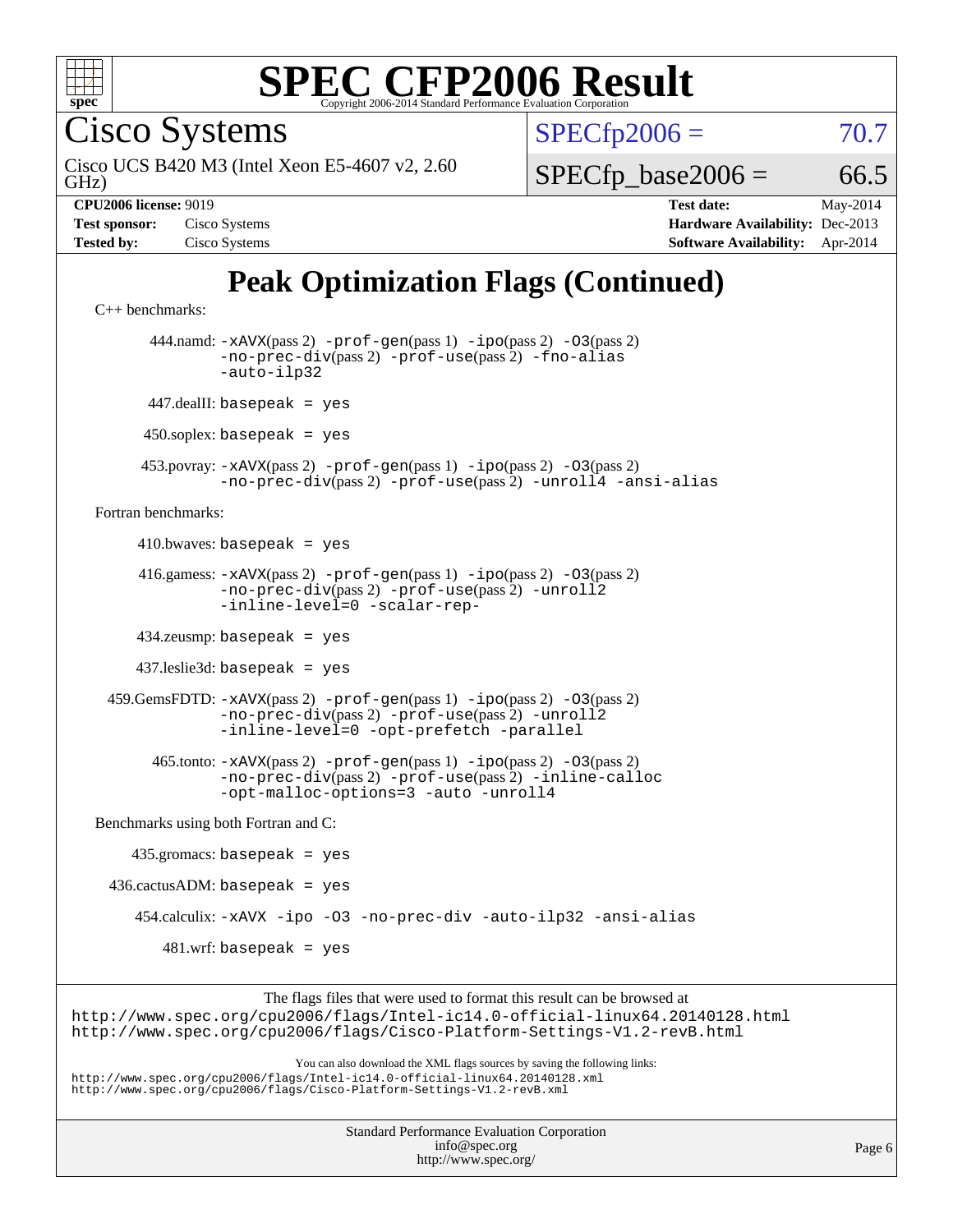

Cisco Systems

GHz) Cisco UCS B420 M3 (Intel Xeon E5-4607 v2, 2.60  $SPECTp2006 = 70.7$ 

 $SPECTp\_base2006 = 66.5$ 

| <b>Test sponsor:</b> | Cisco Systems |
|----------------------|---------------|
| <b>Tested by:</b>    | Cisco Systems |

**[CPU2006 license:](http://www.spec.org/auto/cpu2006/Docs/result-fields.html#CPU2006license)** 9019 **[Test date:](http://www.spec.org/auto/cpu2006/Docs/result-fields.html#Testdate)** May-2014 **[Hardware Availability:](http://www.spec.org/auto/cpu2006/Docs/result-fields.html#HardwareAvailability)** Dec-2013 **[Software Availability:](http://www.spec.org/auto/cpu2006/Docs/result-fields.html#SoftwareAvailability)** Apr-2014

# **[Peak Optimization Flags \(Continued\)](http://www.spec.org/auto/cpu2006/Docs/result-fields.html#PeakOptimizationFlags)**

```
C++ benchmarks: 
        444.namd: -xAVX(pass 2) -prof-gen(pass 1) -ipo(pass 2) -O3(pass 2)
                -no-prec-div(pass 2) -prof-use(pass 2) -fno-alias
                -auto-ilp32
       447.dealII: basepeak = yes
       450.soplex: basepeak = yes
      453.povray: -xAVX(pass 2) -prof-gen(pass 1) -ipo(pass 2) -O3(pass 2)
                -no-prec-div(pass 2) -prof-use(pass 2) -unroll4 -ansi-alias
Fortran benchmarks: 
     410.bwaves: basepeak = yes 416.gamess: -xAVX(pass 2) -prof-gen(pass 1) -ipo(pass 2) -O3(pass 2)
                -no-prec-div(pass 2) -prof-use(pass 2) -unroll2
                -inline-level=0 -scalar-rep-
      434.zeusmp: basepeak = yes
      437.leslie3d: basepeak = yes
  459.GemsFDTD: -xAVX(pass 2) -prof-gen(pass 1) -ipo(pass 2) -O3(pass 2)
                -no-prec-div(pass 2) -prof-use(pass 2) -unroll2
                -inline-level=0 -opt-prefetch -parallel
        465.tonto: -xAVX(pass 2) -prof-gen(pass 1) -ipo(pass 2) -O3(pass 2)
                -no-prec-div(pass 2) -prof-use(pass 2) -inline-calloc
                -opt-malloc-options=3-auto-unroll4
Benchmarks using both Fortran and C: 
     435.gromacs: basepeak = yes
 436.cactusADM: basepeak = yes 454.calculix: -xAVX -ipo -O3 -no-prec-div -auto-ilp32 -ansi-alias
        481.wrf: basepeak = yes
                     The flags files that were used to format this result can be browsed at
```
<http://www.spec.org/cpu2006/flags/Intel-ic14.0-official-linux64.20140128.html> <http://www.spec.org/cpu2006/flags/Cisco-Platform-Settings-V1.2-revB.html>

You can also download the XML flags sources by saving the following links:

<http://www.spec.org/cpu2006/flags/Intel-ic14.0-official-linux64.20140128.xml> <http://www.spec.org/cpu2006/flags/Cisco-Platform-Settings-V1.2-revB.xml>